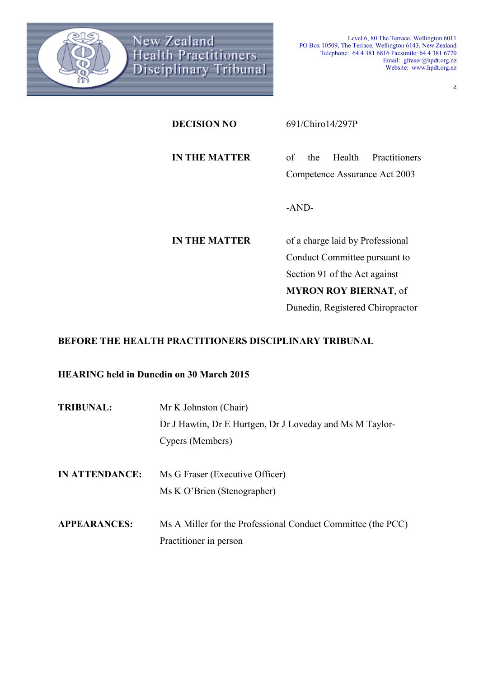

z

**DECISION NO** 691/Chiro14/297P **IN THE MATTER** of the Health Practitioners Competence Assurance Act 2003 -AND-**IN THE MATTER** of a charge laid by Professional Conduct Committee pursuant to Section 91 of the Act against **MYRON ROY BIERNAT**, of

Dunedin, Registered Chiropractor

# **BEFORE THE HEALTH PRACTITIONERS DISCIPLINARY TRIBUNAL**

**HEARING held in Dunedin on 30 March 2015** 

| <b>TRIBUNAL:</b>      | Mr K Johnston (Chair)                                        |
|-----------------------|--------------------------------------------------------------|
|                       | Dr J Hawtin, Dr E Hurtgen, Dr J Loveday and Ms M Taylor-     |
|                       | Cypers (Members)                                             |
|                       |                                                              |
| <b>IN ATTENDANCE:</b> | Ms G Fraser (Executive Officer)                              |
|                       | Ms K O'Brien (Stenographer)                                  |
|                       |                                                              |
| <b>APPEARANCES:</b>   | Ms A Miller for the Professional Conduct Committee (the PCC) |
|                       | Practitioner in person                                       |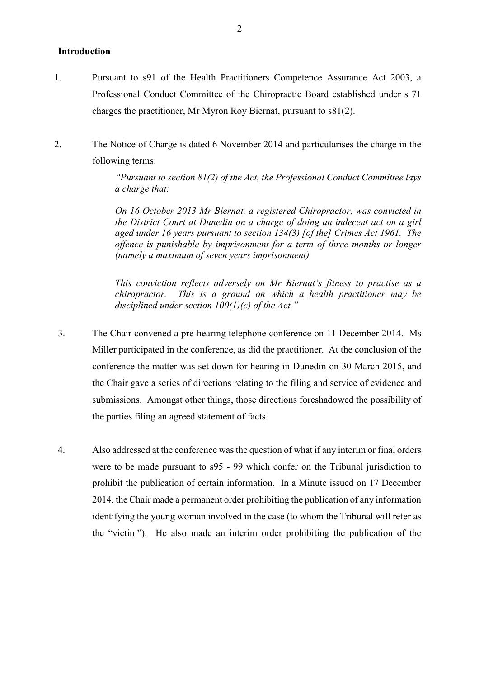# **Introduction**

- 1. Pursuant to s91 of the Health Practitioners Competence Assurance Act 2003, a Professional Conduct Committee of the Chiropractic Board established under s 71 charges the practitioner, Mr Myron Roy Biernat, pursuant to s81(2).
- 2. The Notice of Charge is dated 6 November 2014 and particularises the charge in the following terms:

*"Pursuant to section 81(2) of the Act, the Professional Conduct Committee lays a charge that:* 

*On 16 October 2013 Mr Biernat, a registered Chiropractor, was convicted in the District Court at Dunedin on a charge of doing an indecent act on a girl aged under 16 years pursuant to section 134(3) [of the] Crimes Act 1961. The offence is punishable by imprisonment for a term of three months or longer (namely a maximum of seven years imprisonment).* 

*This conviction reflects adversely on Mr Biernat's fitness to practise as a chiropractor. This is a ground on which a health practitioner may be disciplined under section 100(1)(c) of the Act."* 

- 3. The Chair convened a pre-hearing telephone conference on 11 December 2014. Ms Miller participated in the conference, as did the practitioner. At the conclusion of the conference the matter was set down for hearing in Dunedin on 30 March 2015, and the Chair gave a series of directions relating to the filing and service of evidence and submissions. Amongst other things, those directions foreshadowed the possibility of the parties filing an agreed statement of facts.
- 4. Also addressed at the conference was the question of what if any interim or final orders were to be made pursuant to s95 - 99 which confer on the Tribunal jurisdiction to prohibit the publication of certain information. In a Minute issued on 17 December 2014, the Chair made a permanent order prohibiting the publication of any information identifying the young woman involved in the case (to whom the Tribunal will refer as the "victim"). He also made an interim order prohibiting the publication of the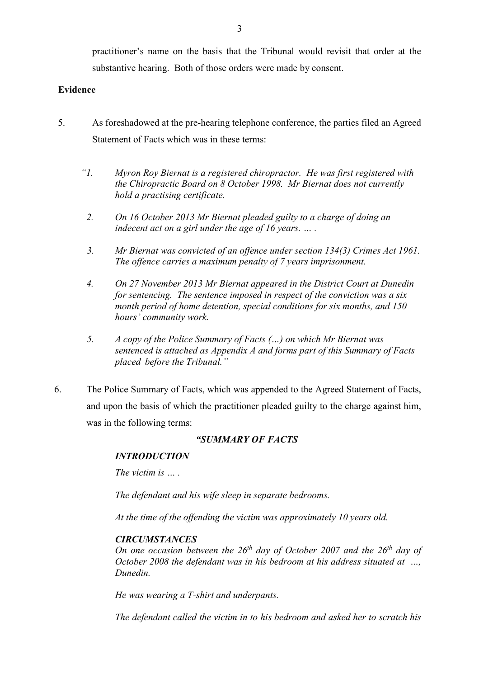practitioner's name on the basis that the Tribunal would revisit that order at the substantive hearing. Both of those orders were made by consent.

# **Evidence**

- 5. As foreshadowed at the pre-hearing telephone conference, the parties filed an Agreed Statement of Facts which was in these terms:
	- *"1. Myron Roy Biernat is a registered chiropractor. He was first registered with the Chiropractic Board on 8 October 1998. Mr Biernat does not currently hold a practising certificate.* 
		- *2. On 16 October 2013 Mr Biernat pleaded guilty to a charge of doing an*  indecent act on a girl under the age of 16 years. ... .
	- *3. Mr Biernat was convicted of an offence under section 134(3) Crimes Act 1961. The offence carries a maximum penalty of 7 years imprisonment.*
	- *4. On 27 November 2013 Mr Biernat appeared in the District Court at Dunedin for sentencing. The sentence imposed in respect of the conviction was a six month period of home detention, special conditions for six months, and 150 hours' community work.*
	- *5. A copy of the Police Summary of Facts (…) on which Mr Biernat was sentenced is attached as Appendix A and forms part of this Summary of Facts placed before the Tribunal."*
- 6. The Police Summary of Facts, which was appended to the Agreed Statement of Facts, and upon the basis of which the practitioner pleaded guilty to the charge against him, was in the following terms:

# *"SUMMARY OF FACTS*

# *INTRODUCTION*

*The victim is* 

*The defendant and his wife sleep in separate bedrooms.* 

*At the time of the offending the victim was approximately 10 years old.* 

# *CIRCUMSTANCES*

*On one occasion between the 26th day of October 2007 and the 26th day of October 2008 the defendant was in his bedroom at his address situated at …, Dunedin.* 

*He was wearing a T-shirt and underpants.* 

*The defendant called the victim in to his bedroom and asked her to scratch his*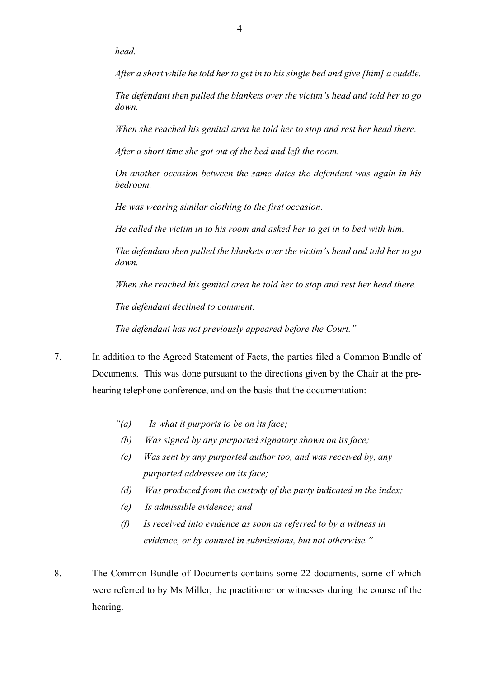*head.* 

*After a short while he told her to get in to his single bed and give [him] a cuddle.* 

*The defendant then pulled the blankets over the victim's head and told her to go down.* 

*When she reached his genital area he told her to stop and rest her head there.* 

*After a short time she got out of the bed and left the room.* 

*On another occasion between the same dates the defendant was again in his bedroom.* 

*He was wearing similar clothing to the first occasion.* 

*He called the victim in to his room and asked her to get in to bed with him.* 

*The defendant then pulled the blankets over the victim's head and told her to go down.* 

*When she reached his genital area he told her to stop and rest her head there.* 

*The defendant declined to comment.* 

*The defendant has not previously appeared before the Court."* 

- 7. In addition to the Agreed Statement of Facts, the parties filed a Common Bundle of Documents. This was done pursuant to the directions given by the Chair at the prehearing telephone conference, and on the basis that the documentation:
	- *"(a) Is what it purports to be on its face;*
	- *(b) Was signed by any purported signatory shown on its face;*
	- *(c) Was sent by any purported author too, and was received by, any purported addressee on its face;*
	- *(d) Was produced from the custody of the party indicated in the index;*
	- *(e) Is admissible evidence; and*
	- *(f) Is received into evidence as soon as referred to by a witness in evidence, or by counsel in submissions, but not otherwise."*
- 8. The Common Bundle of Documents contains some 22 documents, some of which were referred to by Ms Miller, the practitioner or witnesses during the course of the hearing.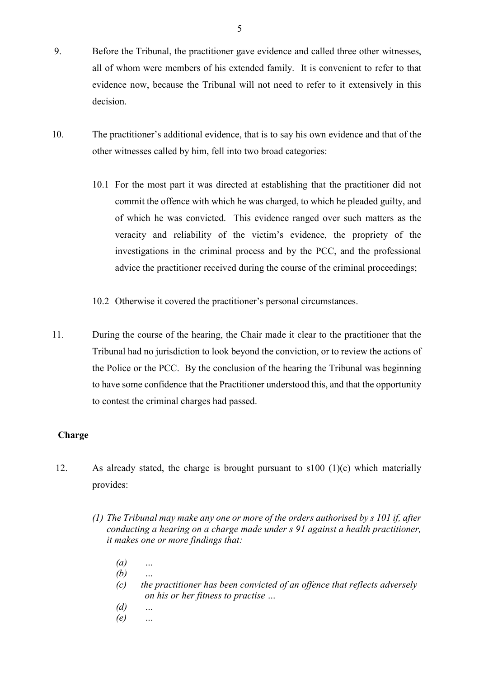- 9. Before the Tribunal, the practitioner gave evidence and called three other witnesses, all of whom were members of his extended family. It is convenient to refer to that evidence now, because the Tribunal will not need to refer to it extensively in this decision.
- 10. The practitioner's additional evidence, that is to say his own evidence and that of the other witnesses called by him, fell into two broad categories:
	- 10.1 For the most part it was directed at establishing that the practitioner did not commit the offence with which he was charged, to which he pleaded guilty, and of which he was convicted. This evidence ranged over such matters as the veracity and reliability of the victim's evidence, the propriety of the investigations in the criminal process and by the PCC, and the professional advice the practitioner received during the course of the criminal proceedings;
	- 10.2 Otherwise it covered the practitioner's personal circumstances.
- 11. During the course of the hearing, the Chair made it clear to the practitioner that the Tribunal had no jurisdiction to look beyond the conviction, or to review the actions of the Police or the PCC. By the conclusion of the hearing the Tribunal was beginning to have some confidence that the Practitioner understood this, and that the opportunity to contest the criminal charges had passed.

# **Charge**

- 12. As already stated, the charge is brought pursuant to s100 (1)(c) which materially provides:
	- *(1) The Tribunal may make any one or more of the orders authorised by s 101 if, after conducting a hearing on a charge made under s 91 against a health practitioner, it makes one or more findings that:* 
		- *(a) …*
		- *(b) …*
		- *(c) the practitioner has been convicted of an offence that reflects adversely on his or her fitness to practise …*
		- *(d) …*

5

*(e) …*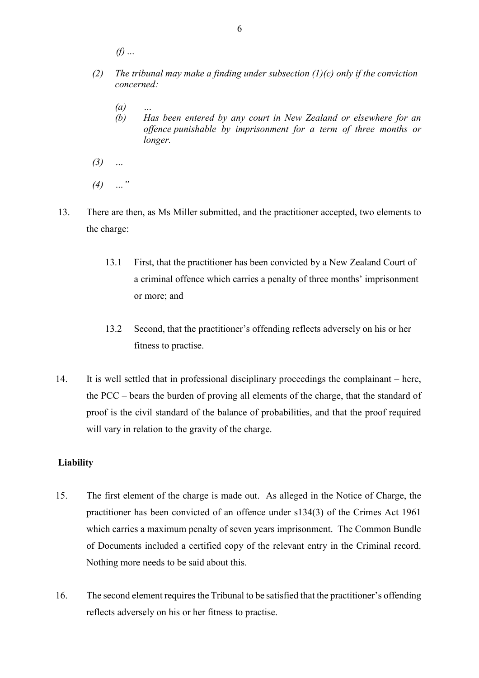*(f) …* 

- *(2) The tribunal may make a finding under subsection (1)(c) only if the conviction concerned:* 
	- *(a) …*
	- *(b) Has been entered by any court in New Zealand or elsewhere for an offence punishable by imprisonment for a term of three months or longer.*
- *(3) …*
- *(4) …"*
- 13. There are then, as Ms Miller submitted, and the practitioner accepted, two elements to the charge:
	- 13.1 First, that the practitioner has been convicted by a New Zealand Court of a criminal offence which carries a penalty of three months' imprisonment or more; and
	- 13.2 Second, that the practitioner's offending reflects adversely on his or her fitness to practise.
- 14. It is well settled that in professional disciplinary proceedings the complainant here, the PCC – bears the burden of proving all elements of the charge, that the standard of proof is the civil standard of the balance of probabilities, and that the proof required will vary in relation to the gravity of the charge.

# **Liability**

- 15. The first element of the charge is made out. As alleged in the Notice of Charge, the practitioner has been convicted of an offence under s134(3) of the Crimes Act 1961 which carries a maximum penalty of seven years imprisonment. The Common Bundle of Documents included a certified copy of the relevant entry in the Criminal record. Nothing more needs to be said about this.
- 16. The second element requires the Tribunal to be satisfied that the practitioner's offending reflects adversely on his or her fitness to practise.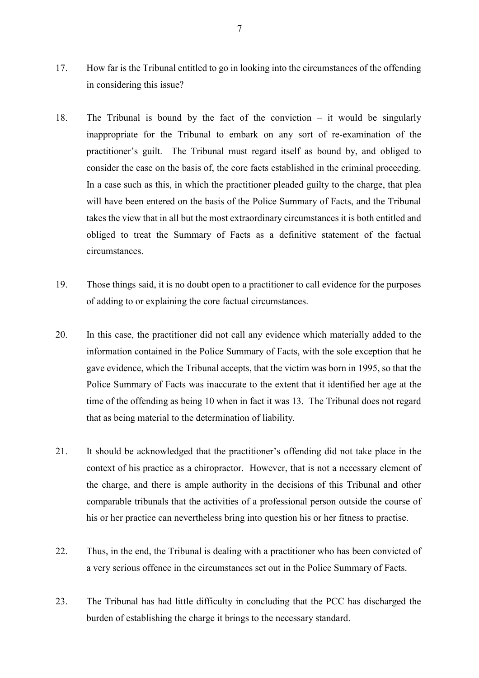- 17. How far is the Tribunal entitled to go in looking into the circumstances of the offending in considering this issue?
- 18. The Tribunal is bound by the fact of the conviction it would be singularly inappropriate for the Tribunal to embark on any sort of re-examination of the practitioner's guilt. The Tribunal must regard itself as bound by, and obliged to consider the case on the basis of, the core facts established in the criminal proceeding. In a case such as this, in which the practitioner pleaded guilty to the charge, that plea will have been entered on the basis of the Police Summary of Facts, and the Tribunal takes the view that in all but the most extraordinary circumstances it is both entitled and obliged to treat the Summary of Facts as a definitive statement of the factual circumstances.
- 19. Those things said, it is no doubt open to a practitioner to call evidence for the purposes of adding to or explaining the core factual circumstances.
- 20. In this case, the practitioner did not call any evidence which materially added to the information contained in the Police Summary of Facts, with the sole exception that he gave evidence, which the Tribunal accepts, that the victim was born in 1995, so that the Police Summary of Facts was inaccurate to the extent that it identified her age at the time of the offending as being 10 when in fact it was 13. The Tribunal does not regard that as being material to the determination of liability.
- 21. It should be acknowledged that the practitioner's offending did not take place in the context of his practice as a chiropractor. However, that is not a necessary element of the charge, and there is ample authority in the decisions of this Tribunal and other comparable tribunals that the activities of a professional person outside the course of his or her practice can nevertheless bring into question his or her fitness to practise.
- 22. Thus, in the end, the Tribunal is dealing with a practitioner who has been convicted of a very serious offence in the circumstances set out in the Police Summary of Facts.
- 23. The Tribunal has had little difficulty in concluding that the PCC has discharged the burden of establishing the charge it brings to the necessary standard.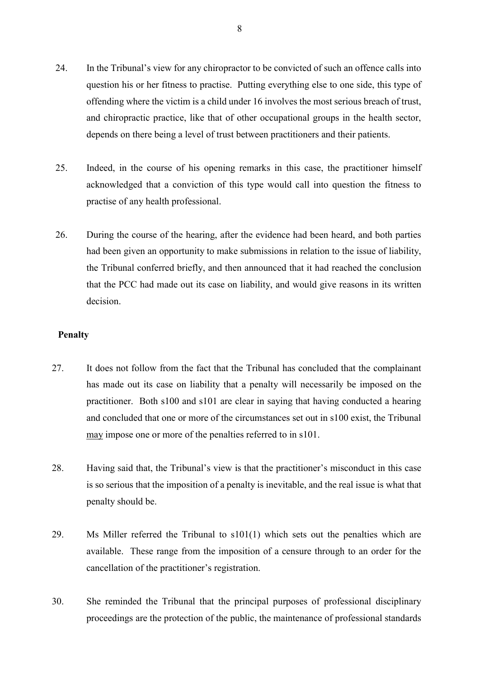- 24. In the Tribunal's view for any chiropractor to be convicted of such an offence calls into question his or her fitness to practise. Putting everything else to one side, this type of offending where the victim is a child under 16 involves the most serious breach of trust, and chiropractic practice, like that of other occupational groups in the health sector, depends on there being a level of trust between practitioners and their patients.
- 25. Indeed, in the course of his opening remarks in this case, the practitioner himself acknowledged that a conviction of this type would call into question the fitness to practise of any health professional.
- 26. During the course of the hearing, after the evidence had been heard, and both parties had been given an opportunity to make submissions in relation to the issue of liability, the Tribunal conferred briefly, and then announced that it had reached the conclusion that the PCC had made out its case on liability, and would give reasons in its written decision.

#### **Penalty**

- 27. It does not follow from the fact that the Tribunal has concluded that the complainant has made out its case on liability that a penalty will necessarily be imposed on the practitioner. Both s100 and s101 are clear in saying that having conducted a hearing and concluded that one or more of the circumstances set out in s100 exist, the Tribunal may impose one or more of the penalties referred to in s101.
- 28. Having said that, the Tribunal's view is that the practitioner's misconduct in this case is so serious that the imposition of a penalty is inevitable, and the real issue is what that penalty should be.
- 29. Ms Miller referred the Tribunal to s101(1) which sets out the penalties which are available. These range from the imposition of a censure through to an order for the cancellation of the practitioner's registration.
- 30. She reminded the Tribunal that the principal purposes of professional disciplinary proceedings are the protection of the public, the maintenance of professional standards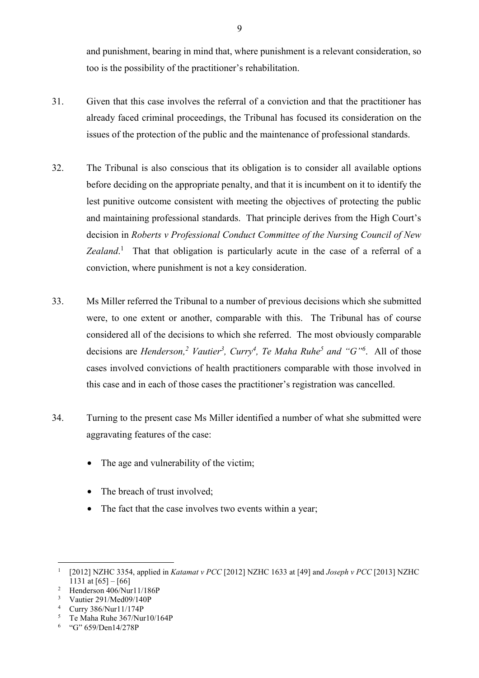and punishment, bearing in mind that, where punishment is a relevant consideration, so too is the possibility of the practitioner's rehabilitation.

- 31. Given that this case involves the referral of a conviction and that the practitioner has already faced criminal proceedings, the Tribunal has focused its consideration on the issues of the protection of the public and the maintenance of professional standards.
- 32. The Tribunal is also conscious that its obligation is to consider all available options before deciding on the appropriate penalty, and that it is incumbent on it to identify the lest punitive outcome consistent with meeting the objectives of protecting the public and maintaining professional standards. That principle derives from the High Court's decision in *Roberts v Professional Conduct Committee of the Nursing Council of New*  Zealand.<sup>1</sup> That that obligation is particularly acute in the case of a referral of a conviction, where punishment is not a key consideration.
- 33. Ms Miller referred the Tribunal to a number of previous decisions which she submitted were, to one extent or another, comparable with this. The Tribunal has of course considered all of the decisions to which she referred. The most obviously comparable decisions are *Henderson*,<sup>2</sup> Vautier<sup>3</sup>, Curry<sup>4</sup>, Te Maha Ruhe<sup>5</sup> and "G"<sup>6</sup>. All of those cases involved convictions of health practitioners comparable with those involved in this case and in each of those cases the practitioner's registration was cancelled.
- 34. Turning to the present case Ms Miller identified a number of what she submitted were aggravating features of the case:
	- The age and vulnerability of the victim;
	- The breach of trust involved:
	- The fact that the case involves two events within a year;

 $\overline{a}$ 

9

<sup>1</sup> [2012] NZHC 3354, applied in *Katamat v PCC* [2012] NZHC 1633 at [49] and *Joseph v PCC* [2013] NZHC  $1131$  at  $[65] - [66]$ <br>
2 Henderson 406/Nur11/186P

<sup>3</sup> Vautier 291/Med09/140P

<sup>4</sup> Curry 386/Nur11/174P

<sup>5</sup> Te Maha Ruhe 367/Nur10/164P

<sup>&</sup>lt;sup>6</sup> "G" 659/Den14/278P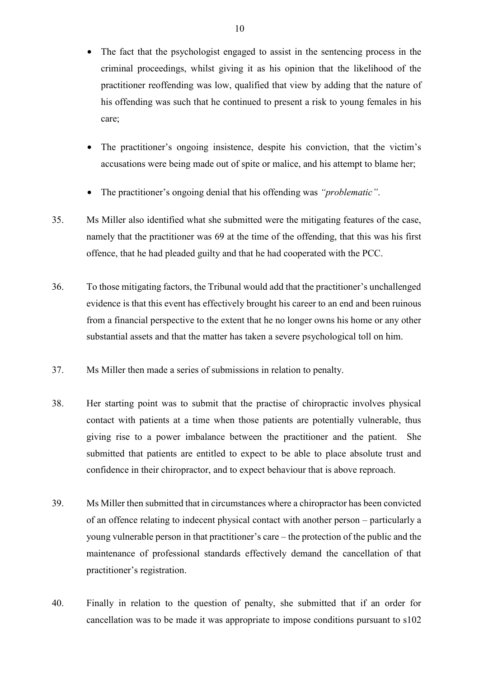- The fact that the psychologist engaged to assist in the sentencing process in the criminal proceedings, whilst giving it as his opinion that the likelihood of the practitioner reoffending was low, qualified that view by adding that the nature of his offending was such that he continued to present a risk to young females in his care;
- The practitioner's ongoing insistence, despite his conviction, that the victim's accusations were being made out of spite or malice, and his attempt to blame her;
- The practitioner's ongoing denial that his offending was *"problematic"*.
- 35. Ms Miller also identified what she submitted were the mitigating features of the case, namely that the practitioner was 69 at the time of the offending, that this was his first offence, that he had pleaded guilty and that he had cooperated with the PCC.
- 36. To those mitigating factors, the Tribunal would add that the practitioner's unchallenged evidence is that this event has effectively brought his career to an end and been ruinous from a financial perspective to the extent that he no longer owns his home or any other substantial assets and that the matter has taken a severe psychological toll on him.
- 37. Ms Miller then made a series of submissions in relation to penalty.
- 38. Her starting point was to submit that the practise of chiropractic involves physical contact with patients at a time when those patients are potentially vulnerable, thus giving rise to a power imbalance between the practitioner and the patient. She submitted that patients are entitled to expect to be able to place absolute trust and confidence in their chiropractor, and to expect behaviour that is above reproach.
- 39. Ms Miller then submitted that in circumstances where a chiropractor has been convicted of an offence relating to indecent physical contact with another person – particularly a young vulnerable person in that practitioner's care – the protection of the public and the maintenance of professional standards effectively demand the cancellation of that practitioner's registration.
- 40. Finally in relation to the question of penalty, she submitted that if an order for cancellation was to be made it was appropriate to impose conditions pursuant to s102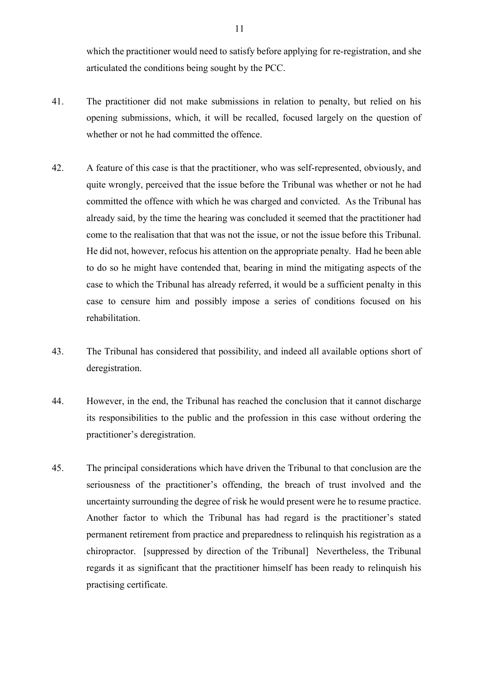which the practitioner would need to satisfy before applying for re-registration, and she articulated the conditions being sought by the PCC.

- 41. The practitioner did not make submissions in relation to penalty, but relied on his opening submissions, which, it will be recalled, focused largely on the question of whether or not he had committed the offence.
- 42. A feature of this case is that the practitioner, who was self-represented, obviously, and quite wrongly, perceived that the issue before the Tribunal was whether or not he had committed the offence with which he was charged and convicted. As the Tribunal has already said, by the time the hearing was concluded it seemed that the practitioner had come to the realisation that that was not the issue, or not the issue before this Tribunal. He did not, however, refocus his attention on the appropriate penalty. Had he been able to do so he might have contended that, bearing in mind the mitigating aspects of the case to which the Tribunal has already referred, it would be a sufficient penalty in this case to censure him and possibly impose a series of conditions focused on his rehabilitation.
- 43. The Tribunal has considered that possibility, and indeed all available options short of deregistration.
- 44. However, in the end, the Tribunal has reached the conclusion that it cannot discharge its responsibilities to the public and the profession in this case without ordering the practitioner's deregistration.
- 45. The principal considerations which have driven the Tribunal to that conclusion are the seriousness of the practitioner's offending, the breach of trust involved and the uncertainty surrounding the degree of risk he would present were he to resume practice. Another factor to which the Tribunal has had regard is the practitioner's stated permanent retirement from practice and preparedness to relinquish his registration as a chiropractor. [suppressed by direction of the Tribunal] Nevertheless, the Tribunal regards it as significant that the practitioner himself has been ready to relinquish his practising certificate.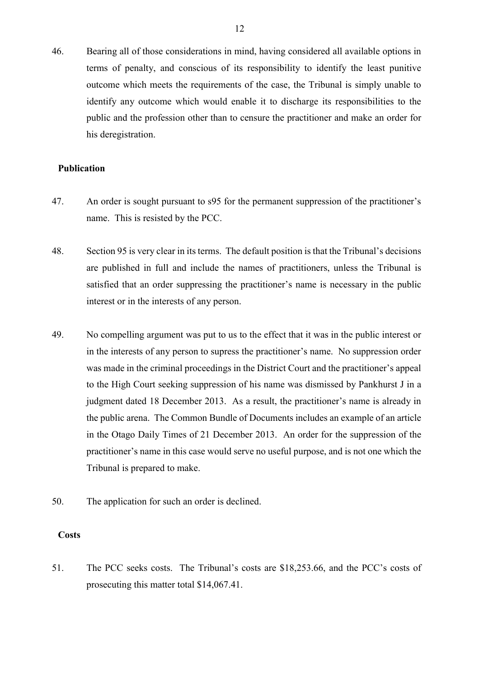46. Bearing all of those considerations in mind, having considered all available options in terms of penalty, and conscious of its responsibility to identify the least punitive outcome which meets the requirements of the case, the Tribunal is simply unable to identify any outcome which would enable it to discharge its responsibilities to the public and the profession other than to censure the practitioner and make an order for his deregistration.

# **Publication**

- 47. An order is sought pursuant to s95 for the permanent suppression of the practitioner's name. This is resisted by the PCC.
- 48. Section 95 is very clear in its terms. The default position is that the Tribunal's decisions are published in full and include the names of practitioners, unless the Tribunal is satisfied that an order suppressing the practitioner's name is necessary in the public interest or in the interests of any person.
- 49. No compelling argument was put to us to the effect that it was in the public interest or in the interests of any person to supress the practitioner's name. No suppression order was made in the criminal proceedings in the District Court and the practitioner's appeal to the High Court seeking suppression of his name was dismissed by Pankhurst J in a judgment dated 18 December 2013. As a result, the practitioner's name is already in the public arena. The Common Bundle of Documents includes an example of an article in the Otago Daily Times of 21 December 2013. An order for the suppression of the practitioner's name in this case would serve no useful purpose, and is not one which the Tribunal is prepared to make.
- 50. The application for such an order is declined.

# **Costs**

51. The PCC seeks costs. The Tribunal's costs are \$18,253.66, and the PCC's costs of prosecuting this matter total \$14,067.41.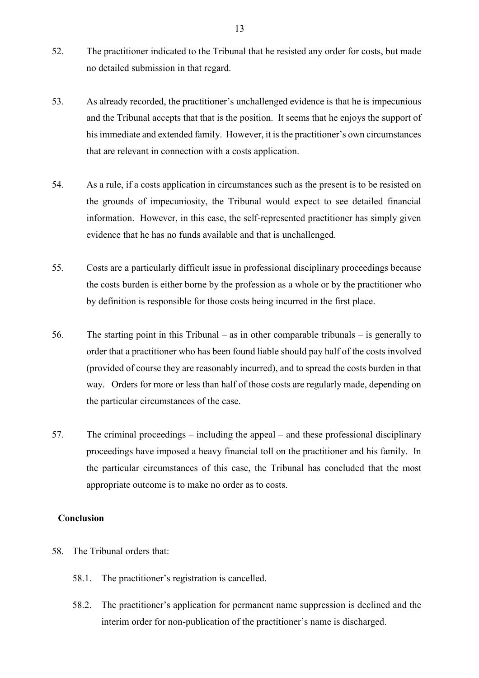- 52. The practitioner indicated to the Tribunal that he resisted any order for costs, but made no detailed submission in that regard.
- 53. As already recorded, the practitioner's unchallenged evidence is that he is impecunious and the Tribunal accepts that that is the position. It seems that he enjoys the support of his immediate and extended family. However, it is the practitioner's own circumstances that are relevant in connection with a costs application.
- 54. As a rule, if a costs application in circumstances such as the present is to be resisted on the grounds of impecuniosity, the Tribunal would expect to see detailed financial information. However, in this case, the self-represented practitioner has simply given evidence that he has no funds available and that is unchallenged.
- 55. Costs are a particularly difficult issue in professional disciplinary proceedings because the costs burden is either borne by the profession as a whole or by the practitioner who by definition is responsible for those costs being incurred in the first place.
- 56. The starting point in this Tribunal as in other comparable tribunals is generally to order that a practitioner who has been found liable should pay half of the costs involved (provided of course they are reasonably incurred), and to spread the costs burden in that way. Orders for more or less than half of those costs are regularly made, depending on the particular circumstances of the case.
- 57. The criminal proceedings including the appeal and these professional disciplinary proceedings have imposed a heavy financial toll on the practitioner and his family. In the particular circumstances of this case, the Tribunal has concluded that the most appropriate outcome is to make no order as to costs.

# **Conclusion**

- 58. The Tribunal orders that:
	- 58.1. The practitioner's registration is cancelled.
	- 58.2. The practitioner's application for permanent name suppression is declined and the interim order for non-publication of the practitioner's name is discharged.